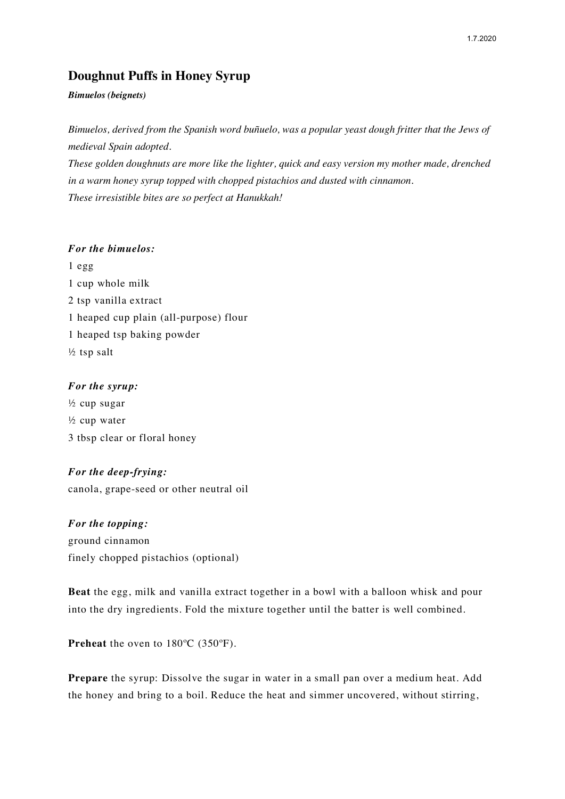# **Doughnut Puffs in Honey Syrup**

## *Bimuelos (beignets)*

*Bimuelos, derived from the Spanish word buñuelo, was a popular yeast dough fritter that the Jews of medieval Spain adopted.*

*These golden doughnuts are more like the lighter, quick and easy version my mother made, drenched in a warm honey syrup topped with chopped pistachios and dusted with cinnamon. These irresistible bites are so perfect at Hanukkah!*

# *For the bimuelos:*

1 egg 1 cup whole milk 2 tsp vanilla extract 1 heaped cup plain (all-purpose) flour 1 heaped tsp baking powder  $\frac{1}{2}$  tsp salt

# *For the syrup:*

½ cup sugar ½ cup water 3 tbsp clear or floral honey

# *For the deep-frying:*

canola, grape-seed or other neutral oil

*For the topping:* ground cinnamon finely chopped pistachios (optional)

**Beat** the egg, milk and vanilla extract together in a bowl with a balloon whisk and pour into the dry ingredients. Fold the mixture together until the batter is well combined.

**Preheat** the oven to 180ºC (350ºF).

**Prepare** the syrup: Dissolve the sugar in water in a small pan over a medium heat. Add the honey and bring to a boil. Reduce the heat and simmer uncovered, without stirring,